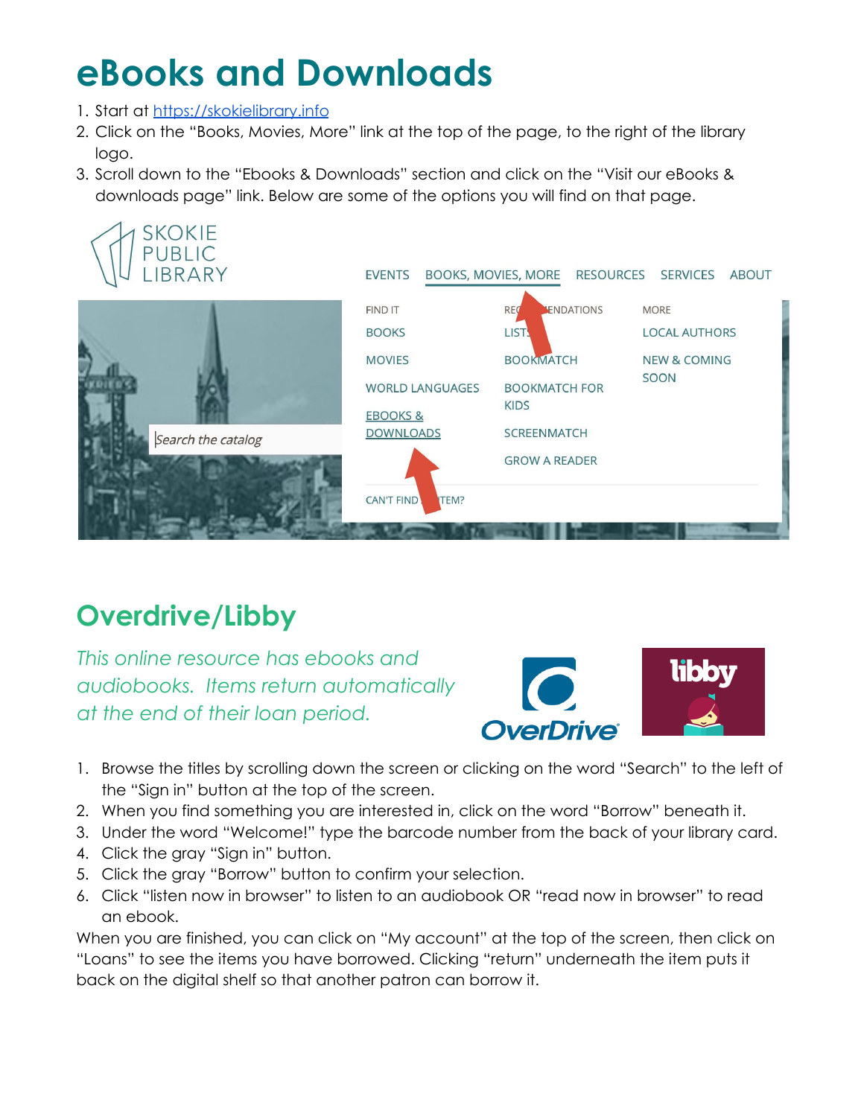## **eBooks and Downloads**

- 1. Start at <https://skokielibrary.info>
- 2. Click on the "Books, Movies, More" link at the top of the page, to the right of the library logo.
- 3. Scroll down to the "Ebooks & Downloads" section and click on the "Visit our eBooks & downloads page" link. Below are some of the options you will find on that page.



## **Overdrive/Libby**

*This online resource has ebooks and audiobooks. Items return automatically at the end of their loan period.*



- 1. Browse the titles by scrolling down the screen or clicking on the word "Search" to the left of the "Sign in" button at the top of the screen.
- 2. When you find something you are interested in, click on the word "Borrow" beneath it.
- 3. Under the word "Welcome!" type the barcode number from the back of your library card.
- 4. Click the gray "Sign in" button.
- 5. Click the gray "Borrow" button to confirm your selection.
- 6. Click "listen now in browser" to listen to an audiobook OR "read now in browser" to read an ebook.

When you are finished, you can click on "My account" at the top of the screen, then click on "Loans" to see the items you have borrowed. Clicking "return" underneath the item puts it back on the digital shelf so that another patron can borrow it.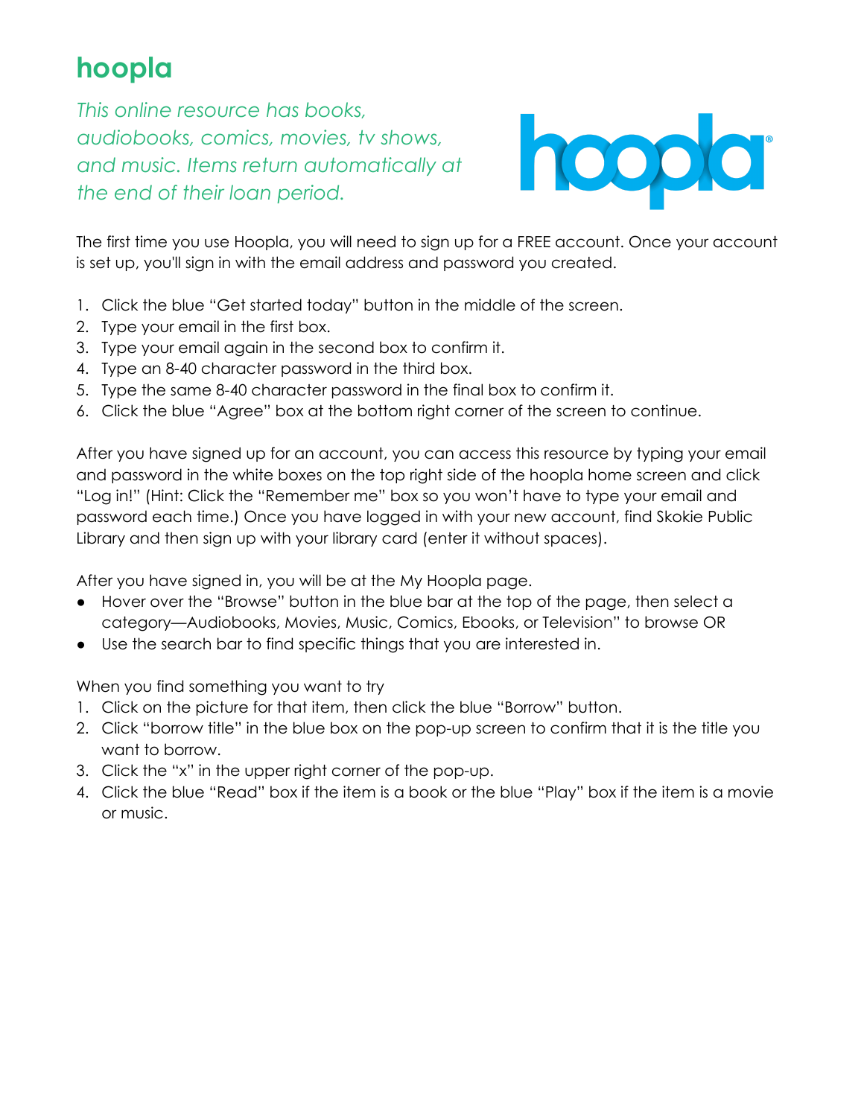## **hoopla**

*This online resource has books, audiobooks, comics, movies, tv shows, and music. Items return automatically at the end of their loan period.*



The first time you use Hoopla, you will need to sign up for a FREE account. Once your account is set up, you'll sign in with the email address and password you created.

- 1. Click the blue "Get started today" button in the middle of the screen.
- 2. Type your email in the first box.
- 3. Type your email again in the second box to confirm it.
- 4. Type an 8-40 character password in the third box.
- 5. Type the same 8-40 character password in the final box to confirm it.
- 6. Click the blue "Agree" box at the bottom right corner of the screen to continue.

After you have signed up for an account, you can access this resource by typing your email and password in the white boxes on the top right side of the hoopla home screen and click "Log in!" (Hint: Click the "Remember me" box so you won't have to type your email and password each time.) Once you have logged in with your new account, find Skokie Public Library and then sign up with your library card (enter it without spaces).

After you have signed in, you will be at the My Hoopla page.

- Hover over the "Browse" button in the blue bar at the top of the page, then select a category—Audiobooks, Movies, Music, Comics, Ebooks, or Television" to browse OR
- Use the search bar to find specific things that you are interested in.

When you find something you want to try

- 1. Click on the picture for that item, then click the blue "Borrow" button.
- 2. Click "borrow title" in the blue box on the pop-up screen to confirm that it is the title you want to borrow.
- 3. Click the "x" in the upper right corner of the pop-up.
- 4. Click the blue "Read" box if the item is a book or the blue "Play" box if the item is a movie or music.